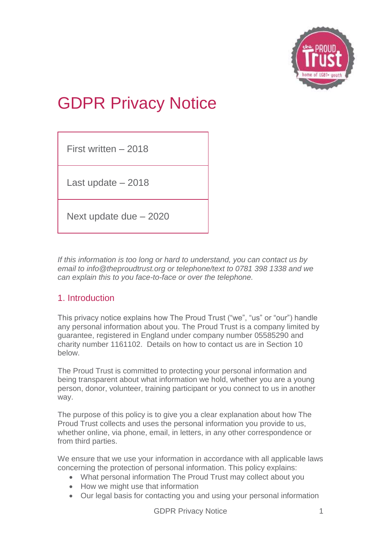

# GDPR Privacy Notice

First written – 2018

Last update – 2018

Next update due – 2020

*If this information is too long or hard to understand, you can contact us by email to info@theproudtrust.org or telephone/text to 0781 398 1338 and we can explain this to you face-to-face or over the telephone.*

## 1. Introduction

This privacy notice explains how The Proud Trust ("we", "us" or "our") handle any personal information about you. The Proud Trust is a company limited by guarantee, registered in England under company number 05585290 and charity number 1161102. Details on how to contact us are in Section 10 below.

The Proud Trust is committed to protecting your personal information and being transparent about what information we hold, whether you are a young person, donor, volunteer, training participant or you connect to us in another way.

The purpose of this policy is to give you a clear explanation about how The Proud Trust collects and uses the personal information you provide to us, whether online, via phone, email, in letters, in any other correspondence or from third parties.

We ensure that we use your information in accordance with all applicable laws concerning the protection of personal information. This policy explains:

- What personal information The Proud Trust may collect about you
- How we might use that information
- Our legal basis for contacting you and using your personal information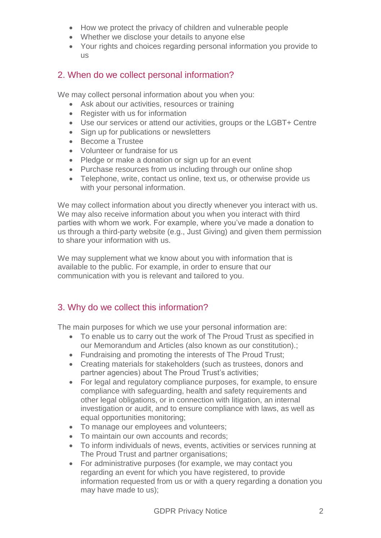- How we protect the privacy of children and vulnerable people
- Whether we disclose your details to anyone else
- Your rights and choices regarding personal information you provide to us

## 2. When do we collect personal information?

We may collect personal information about you when you:

- Ask about our activities, resources or training
- Register with us for information
- Use our services or attend our activities, groups or the LGBT+ Centre
- Sign up for publications or newsletters
- Become a Trustee
- Volunteer or fundraise for us
- Pledge or make a donation or sign up for an event
- Purchase resources from us including through our online shop
- Telephone, write, contact us online, text us, or otherwise provide us with your personal information.

We may collect information about you directly whenever you interact with us. We may also receive information about you when you interact with third parties with whom we work. For example, where you've made a donation to us through a third-party website (e.g., Just Giving) and given them permission to share your information with us.

We may supplement what we know about you with information that is available to the public. For example, in order to ensure that our communication with you is relevant and tailored to you.

## 3. Why do we collect this information?

The main purposes for which we use your personal information are:

- To enable us to carry out the work of The Proud Trust as specified in our Memorandum and Articles (also known as our constitution).;
- Fundraising and promoting the interests of The Proud Trust;
- Creating materials for stakeholders (such as trustees, donors and partner agencies) about The Proud Trust's activities;
- For legal and regulatory compliance purposes, for example, to ensure compliance with safeguarding, health and safety requirements and other legal obligations, or in connection with litigation, an internal investigation or audit, and to ensure compliance with laws, as well as equal opportunities monitoring;
- To manage our employees and volunteers;
- To maintain our own accounts and records;
- To inform individuals of news, events, activities or services running at The Proud Trust and partner organisations;
- For administrative purposes (for example, we may contact you regarding an event for which you have registered, to provide information requested from us or with a query regarding a donation you may have made to us);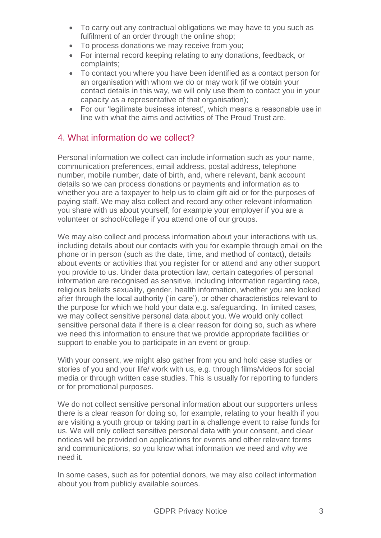- To carry out any contractual obligations we may have to you such as fulfilment of an order through the online shop;
- To process donations we may receive from you;
- For internal record keeping relating to any donations, feedback, or complaints;
- To contact you where you have been identified as a contact person for an organisation with whom we do or may work (if we obtain your contact details in this way, we will only use them to contact you in your capacity as a representative of that organisation);
- For our 'legitimate business interest', which means a reasonable use in line with what the aims and activities of The Proud Trust are.

#### 4. What information do we collect?

Personal information we collect can include information such as your name, communication preferences, email address, postal address, telephone number, mobile number, date of birth, and, where relevant, bank account details so we can process donations or payments and information as to whether you are a taxpayer to help us to claim gift aid or for the purposes of paying staff. We may also collect and record any other relevant information you share with us about yourself, for example your employer if you are a volunteer or school/college if you attend one of our groups.

We may also collect and process information about your interactions with us, including details about our contacts with you for example through email on the phone or in person (such as the date, time, and method of contact), details about events or activities that you register for or attend and any other support you provide to us. Under data protection law, certain categories of personal information are recognised as sensitive, including information regarding race, religious beliefs sexuality, gender, health information, whether you are looked after through the local authority ('in care'), or other characteristics relevant to the purpose for which we hold your data e.g. safeguarding. In limited cases, we may collect sensitive personal data about you. We would only collect sensitive personal data if there is a clear reason for doing so, such as where we need this information to ensure that we provide appropriate facilities or support to enable you to participate in an event or group.

With your consent, we might also gather from you and hold case studies or stories of you and your life/ work with us, e.g. through films/videos for social media or through written case studies. This is usually for reporting to funders or for promotional purposes.

We do not collect sensitive personal information about our supporters unless there is a clear reason for doing so, for example, relating to your health if you are visiting a youth group or taking part in a challenge event to raise funds for us. We will only collect sensitive personal data with your consent, and clear notices will be provided on applications for events and other relevant forms and communications, so you know what information we need and why we need it.

In some cases, such as for potential donors, we may also collect information about you from publicly available sources.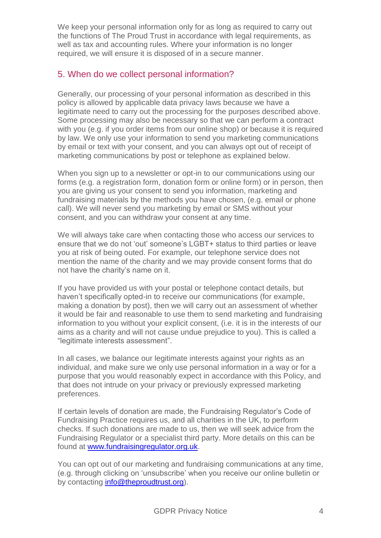We keep your personal information only for as long as required to carry out the functions of The Proud Trust in accordance with legal requirements, as well as tax and accounting rules. Where your information is no longer required, we will ensure it is disposed of in a secure manner.

## 5. When do we collect personal information?

Generally, our processing of your personal information as described in this policy is allowed by applicable data privacy laws because we have a legitimate need to carry out the processing for the purposes described above. Some processing may also be necessary so that we can perform a contract with you (e.g. if you order items from our online shop) or because it is required by law. We only use your information to send you marketing communications by email or text with your consent, and you can always opt out of receipt of marketing communications by post or telephone as explained below.

When you sign up to a newsletter or opt-in to our communications using our forms (e.g. a registration form, donation form or online form) or in person, then you are giving us your consent to send you information, marketing and fundraising materials by the methods you have chosen, (e.g. email or phone call). We will never send you marketing by email or SMS without your consent, and you can withdraw your consent at any time.

We will always take care when contacting those who access our services to ensure that we do not 'out' someone's LGBT+ status to third parties or leave you at risk of being outed. For example, our telephone service does not mention the name of the charity and we may provide consent forms that do not have the charity's name on it.

If you have provided us with your postal or telephone contact details, but haven't specifically opted-in to receive our communications (for example, making a donation by post), then we will carry out an assessment of whether it would be fair and reasonable to use them to send marketing and fundraising information to you without your explicit consent, (i.e. it is in the interests of our aims as a charity and will not cause undue prejudice to you). This is called a "legitimate interests assessment".

In all cases, we balance our legitimate interests against your rights as an individual, and make sure we only use personal information in a way or for a purpose that you would reasonably expect in accordance with this Policy, and that does not intrude on your privacy or previously expressed marketing preferences.

If certain levels of donation are made, the Fundraising Regulator's Code of Fundraising Practice requires us, and all charities in the UK, to perform checks. If such donations are made to us, then we will seek advice from the Fundraising Regulator or a specialist third party. More details on this can be found at [www.fundraisingregulator.org.uk.](http://www.fundraisingregulator.org.uk/)

You can opt out of our marketing and fundraising communications at any time, (e.g. through clicking on 'unsubscribe' when you receive our online bulletin or by contacting [info@theproudtrust.org\)](mailto:info@theproudtrust.org).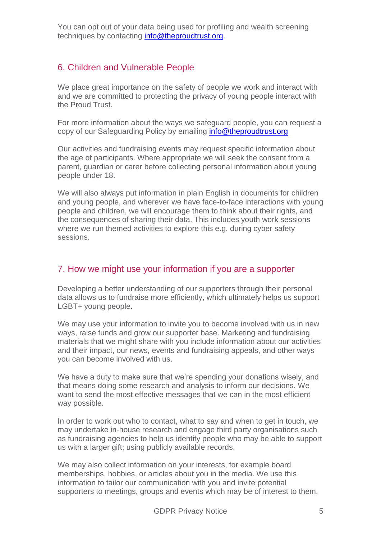You can opt out of your data being used for profiling and wealth screening techniques by contacting [info@theproudtrust.org.](mailto:info@theproudtrust.org)

#### 6. Children and Vulnerable People

We place great importance on the safety of people we work and interact with and we are committed to protecting the privacy of young people interact with the Proud Trust.

For more information about the ways we safeguard people, you can request a copy of our Safeguarding Policy by emailing [info@theproudtrust.org](mailto:info@theproudtrust.org)

Our activities and fundraising events may request specific information about the age of participants. Where appropriate we will seek the consent from a parent, guardian or carer before collecting personal information about young people under 18.

We will also always put information in plain English in documents for children and young people, and wherever we have face-to-face interactions with young people and children, we will encourage them to think about their rights, and the consequences of sharing their data. This includes youth work sessions where we run themed activities to explore this e.g. during cyber safety sessions.

#### 7. How we might use your information if you are a supporter

Developing a better understanding of our supporters through their personal data allows us to fundraise more efficiently, which ultimately helps us support LGBT+ young people.

We may use your information to invite you to become involved with us in new ways, raise funds and grow our supporter base. Marketing and fundraising materials that we might share with you include information about our activities and their impact, our news, events and fundraising appeals, and other ways you can become involved with us.

We have a duty to make sure that we're spending your donations wisely, and that means doing some research and analysis to inform our decisions. We want to send the most effective messages that we can in the most efficient way possible.

In order to work out who to contact, what to say and when to get in touch, we may undertake in-house research and engage third party organisations such as fundraising agencies to help us identify people who may be able to support us with a larger gift; using publicly available records.

We may also collect information on your interests, for example board memberships, hobbies, or articles about you in the media. We use this information to tailor our communication with you and invite potential supporters to meetings, groups and events which may be of interest to them.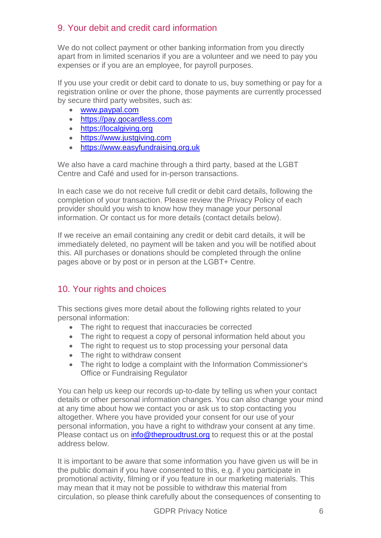# 9. Your debit and credit card information

We do not collect payment or other banking information from you directly apart from in limited scenarios if you are a volunteer and we need to pay you expenses or if you are an employee, for payroll purposes.

If you use your credit or debit card to donate to us, buy something or pay for a registration online or over the phone, those payments are currently processed by secure third party websites, such as:

- [www.paypal.com](http://www.paypal.com/)
- [https://pay.gocardless.com](https://pay.gocardless.com/)
- [https://localgiving.org](https://localgiving.org/)
- [https://www.justgiving.com](https://www.justgiving.com/)
- [https://www.easyfundraising.org.uk](https://www.easyfundraising.org.uk/)

We also have a card machine through a third party, based at the LGBT Centre and Café and used for in-person transactions.

In each case we do not receive full credit or debit card details, following the completion of your transaction. Please review the Privacy Policy of each provider should you wish to know how they manage your personal information. Or contact us for more details (contact details below).

If we receive an email containing any credit or debit card details, it will be immediately deleted, no payment will be taken and you will be notified about this. All purchases or donations should be completed through the online pages above or by post or in person at the LGBT+ Centre.

## 10. Your rights and choices

This sections gives more detail about the following rights related to your personal information:

- The right to request that inaccuracies be corrected
- The right to request a copy of personal information held about you
- The right to request us to stop processing your personal data
- The right to withdraw consent
- The right to lodge a complaint with the Information Commissioner's Office or Fundraising Regulator

You can help us keep our records up-to-date by telling us when your contact details or other personal information changes. You can also change your mind at any time about how we contact you or ask us to stop contacting you altogether. Where you have provided your consent for our use of your personal information, you have a right to withdraw your consent at any time. Please contact us on [info@theproudtrust.org](mailto:info@theproudtrust.org) to request this or at the postal address below.

It is important to be aware that some information you have given us will be in the public domain if you have consented to this, e.g. if you participate in promotional activity, filming or if you feature in our marketing materials. This may mean that it may not be possible to withdraw this material from circulation, so please think carefully about the consequences of consenting to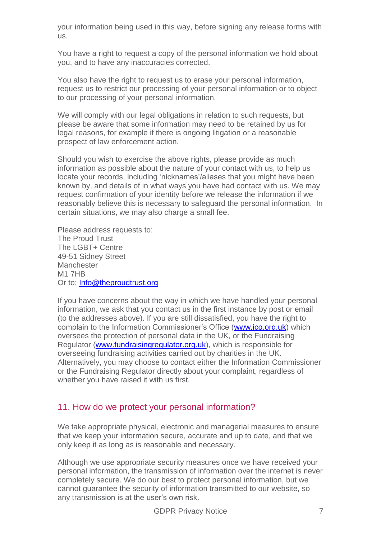your information being used in this way, before signing any release forms with us.

You have a right to request a copy of the personal information we hold about you, and to have any inaccuracies corrected.

You also have the right to request us to erase your personal information, request us to restrict our processing of your personal information or to object to our processing of your personal information.

We will comply with our legal obligations in relation to such requests, but please be aware that some information may need to be retained by us for legal reasons, for example if there is ongoing litigation or a reasonable prospect of law enforcement action.

Should you wish to exercise the above rights, please provide as much information as possible about the nature of your contact with us, to help us locate your records, including 'nicknames'/aliases that you might have been known by, and details of in what ways you have had contact with us. We may request confirmation of your identity before we release the information if we reasonably believe this is necessary to safeguard the personal information. In certain situations, we may also charge a small fee.

Please address requests to: The Proud Trust The LGBT+ Centre 49-51 Sidney Street Manchester M1 7HB Or to: [Info@theproudtrust.org](mailto:Info@theproudtrust.org)

If you have concerns about the way in which we have handled your personal information, we ask that you contact us in the first instance by post or email (to the addresses above). If you are still dissatisfied, you have the right to complain to the Information Commissioner's Office [\(www.ico.org.uk\)](http://www.ico.org.uk/) which oversees the protection of personal data in the UK, or the Fundraising Regulator [\(www.fundraisingregulator.org.uk\)](http://www.fundraisingregulator.org.uk/), which is responsible for overseeing fundraising activities carried out by charities in the UK. Alternatively, you may choose to contact either the Information Commissioner or the Fundraising Regulator directly about your complaint, regardless of whether you have raised it with us first.

#### 11. How do we protect your personal information?

We take appropriate physical, electronic and managerial measures to ensure that we keep your information secure, accurate and up to date, and that we only keep it as long as is reasonable and necessary.

Although we use appropriate security measures once we have received your personal information, the transmission of information over the internet is never completely secure. We do our best to protect personal information, but we cannot guarantee the security of information transmitted to our website, so any transmission is at the user's own risk.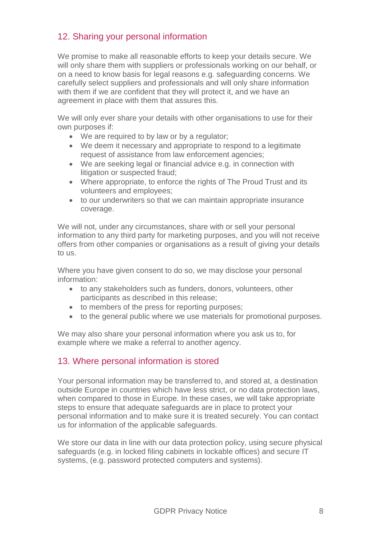## 12. Sharing your personal information

We promise to make all reasonable efforts to keep your details secure. We will only share them with suppliers or professionals working on our behalf, or on a need to know basis for legal reasons e.g. safeguarding concerns. We carefully select suppliers and professionals and will only share information with them if we are confident that they will protect it, and we have an agreement in place with them that assures this.

We will only ever share your details with other organisations to use for their own purposes if:

- We are required to by law or by a regulator;
- We deem it necessary and appropriate to respond to a legitimate request of assistance from law enforcement agencies;
- We are seeking legal or financial advice e.g. in connection with litigation or suspected fraud;
- Where appropriate, to enforce the rights of The Proud Trust and its volunteers and employees;
- to our underwriters so that we can maintain appropriate insurance coverage.

We will not, under any circumstances, share with or sell your personal information to any third party for marketing purposes, and you will not receive offers from other companies or organisations as a result of giving your details to us.

Where you have given consent to do so, we may disclose your personal information:

- to any stakeholders such as funders, donors, volunteers, other participants as described in this release;
- to members of the press for reporting purposes;
- to the general public where we use materials for promotional purposes.

We may also share your personal information where you ask us to, for example where we make a referral to another agency.

## 13. Where personal information is stored

Your personal information may be transferred to, and stored at, a destination outside Europe in countries which have less strict, or no data protection laws, when compared to those in Europe. In these cases, we will take appropriate steps to ensure that adequate safeguards are in place to protect your personal information and to make sure it is treated securely. You can contact us for information of the applicable safeguards.

We store our data in line with our data protection policy, using secure physical safeguards (e.g. in locked filing cabinets in lockable offices) and secure IT systems, (e.g. password protected computers and systems).